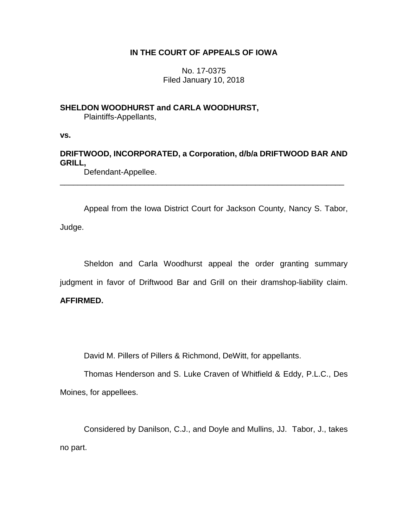## **IN THE COURT OF APPEALS OF IOWA**

No. 17-0375 Filed January 10, 2018

## **SHELDON WOODHURST and CARLA WOODHURST,**

Plaintiffs-Appellants,

**vs.**

# **DRIFTWOOD, INCORPORATED, a Corporation, d/b/a DRIFTWOOD BAR AND GRILL,**

\_\_\_\_\_\_\_\_\_\_\_\_\_\_\_\_\_\_\_\_\_\_\_\_\_\_\_\_\_\_\_\_\_\_\_\_\_\_\_\_\_\_\_\_\_\_\_\_\_\_\_\_\_\_\_\_\_\_\_\_\_\_\_\_

Defendant-Appellee.

Appeal from the Iowa District Court for Jackson County, Nancy S. Tabor, Judge.

Sheldon and Carla Woodhurst appeal the order granting summary judgment in favor of Driftwood Bar and Grill on their dramshop-liability claim.

## **AFFIRMED.**

David M. Pillers of Pillers & Richmond, DeWitt, for appellants.

Thomas Henderson and S. Luke Craven of Whitfield & Eddy, P.L.C., Des Moines, for appellees.

Considered by Danilson, C.J., and Doyle and Mullins, JJ. Tabor, J., takes no part.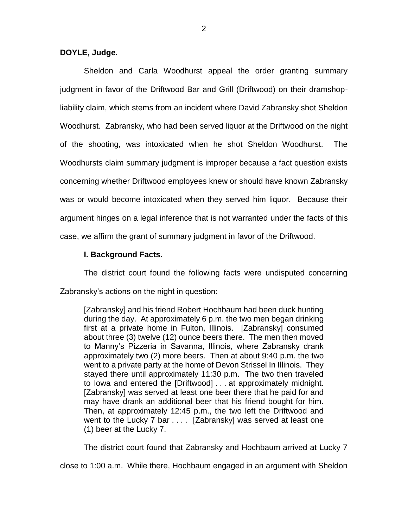### **DOYLE, Judge.**

Sheldon and Carla Woodhurst appeal the order granting summary judgment in favor of the Driftwood Bar and Grill (Driftwood) on their dramshopliability claim, which stems from an incident where David Zabransky shot Sheldon Woodhurst. Zabransky, who had been served liquor at the Driftwood on the night of the shooting, was intoxicated when he shot Sheldon Woodhurst. The Woodhursts claim summary judgment is improper because a fact question exists concerning whether Driftwood employees knew or should have known Zabransky was or would become intoxicated when they served him liquor. Because their argument hinges on a legal inference that is not warranted under the facts of this case, we affirm the grant of summary judgment in favor of the Driftwood.

#### **I. Background Facts.**

The district court found the following facts were undisputed concerning Zabransky's actions on the night in question:

[Zabransky] and his friend Robert Hochbaum had been duck hunting during the day. At approximately 6 p.m. the two men began drinking first at a private home in Fulton, Illinois. [Zabransky] consumed about three (3) twelve (12) ounce beers there. The men then moved to Manny's Pizzeria in Savanna, Illinois, where Zabransky drank approximately two (2) more beers. Then at about 9:40 p.m. the two went to a private party at the home of Devon Strissel In Illinois. They stayed there until approximately 11:30 p.m. The two then traveled to Iowa and entered the [Driftwood] . . . at approximately midnight. [Zabransky] was served at least one beer there that he paid for and may have drank an additional beer that his friend bought for him. Then, at approximately 12:45 p.m., the two left the Driftwood and went to the Lucky 7 bar . . . . [Zabransky] was served at least one (1) beer at the Lucky 7.

The district court found that Zabransky and Hochbaum arrived at Lucky 7

close to 1:00 a.m. While there, Hochbaum engaged in an argument with Sheldon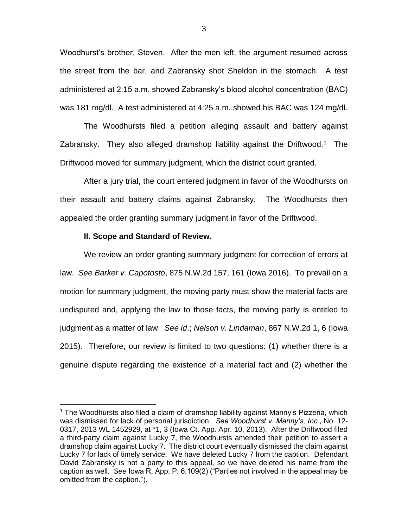Woodhurst's brother, Steven. After the men left, the argument resumed across the street from the bar, and Zabransky shot Sheldon in the stomach. A test administered at 2:15 a.m. showed Zabransky's blood alcohol concentration (BAC) was 181 mg/dl. A test administered at 4:25 a.m. showed his BAC was 124 mg/dl.

The Woodhursts filed a petition alleging assault and battery against Zabransky. They also alleged dramshop liability against the Driftwood.<sup>1</sup> The Driftwood moved for summary judgment, which the district court granted.

After a jury trial, the court entered judgment in favor of the Woodhursts on their assault and battery claims against Zabransky. The Woodhursts then appealed the order granting summary judgment in favor of the Driftwood.

#### **II. Scope and Standard of Review.**

 $\overline{a}$ 

We review an order granting summary judgment for correction of errors at law. *See Barker v. Capotosto*, 875 N.W.2d 157, 161 (Iowa 2016). To prevail on a motion for summary judgment, the moving party must show the material facts are undisputed and, applying the law to those facts, the moving party is entitled to judgment as a matter of law. *See id*.; *Nelson v. Lindaman*, 867 N.W.2d 1, 6 (Iowa 2015). Therefore, our review is limited to two questions: (1) whether there is a genuine dispute regarding the existence of a material fact and (2) whether the

 $1$  The Woodhursts also filed a claim of dramshop liability against Manny's Pizzeria, which was dismissed for lack of personal jurisdiction. *See Woodhurst v. Manny's, Inc.*, No. 12- 0317, 2013 WL 1452929, at \*1, 3 (Iowa Ct. App. Apr. 10, 2013). After the Driftwood filed a third-party claim against Lucky 7, the Woodhursts amended their petition to assert a dramshop claim against Lucky 7. The district court eventually dismissed the claim against Lucky 7 for lack of timely service. We have deleted Lucky 7 from the caption. Defendant David Zabransky is not a party to this appeal, so we have deleted his name from the caption as well. *See* Iowa R. App. P. 6.109(2) ("Parties not involved in the appeal may be omitted from the caption.").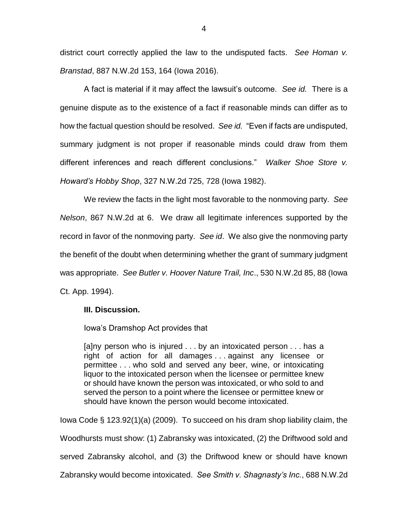district court correctly applied the law to the undisputed facts. *See Homan v. Branstad*, 887 N.W.2d 153, 164 (Iowa 2016).

A fact is material if it may affect the lawsuit's outcome. *See id.* There is a genuine dispute as to the existence of a fact if reasonable minds can differ as to how the factual question should be resolved. *See id.* "Even if facts are undisputed, summary judgment is not proper if reasonable minds could draw from them different inferences and reach different conclusions." *Walker Shoe Store v. Howard's Hobby Shop*, 327 N.W.2d 725, 728 (Iowa 1982).

We review the facts in the light most favorable to the nonmoving party. *See Nelson*, 867 N.W.2d at 6. We draw all legitimate inferences supported by the record in favor of the nonmoving party. *See id*. We also give the nonmoving party the benefit of the doubt when determining whether the grant of summary judgment was appropriate. *See Butler v. Hoover Nature Trail, Inc*., 530 N.W.2d 85, 88 (Iowa Ct. App. 1994).

## **III. Discussion.**

Iowa's Dramshop Act provides that

[a]ny person who is injured . . . by an intoxicated person . . . has a right of action for all damages . . . against any licensee or permittee . . . who sold and served any beer, wine, or intoxicating liquor to the intoxicated person when the licensee or permittee knew or should have known the person was intoxicated, or who sold to and served the person to a point where the licensee or permittee knew or should have known the person would become intoxicated.

Iowa Code § 123.92(1)(a) (2009). To succeed on his dram shop liability claim, the Woodhursts must show: (1) Zabransky was intoxicated, (2) the Driftwood sold and served Zabransky alcohol, and (3) the Driftwood knew or should have known Zabransky would become intoxicated. *See Smith v. Shagnasty's Inc.*, 688 N.W.2d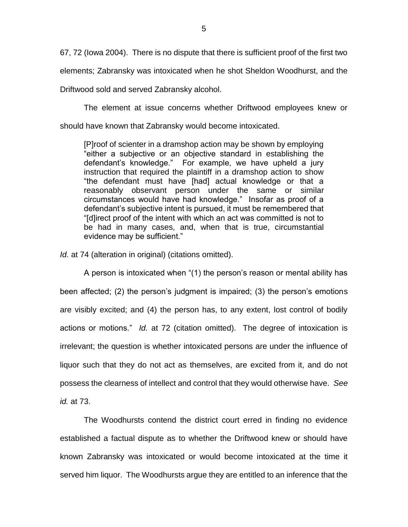67, 72 (Iowa 2004). There is no dispute that there is sufficient proof of the first two elements; Zabransky was intoxicated when he shot Sheldon Woodhurst, and the

Driftwood sold and served Zabransky alcohol.

The element at issue concerns whether Driftwood employees knew or should have known that Zabransky would become intoxicated.

[P]roof of scienter in a dramshop action may be shown by employing "either a subjective or an objective standard in establishing the defendant's knowledge." For example, we have upheld a jury instruction that required the plaintiff in a dramshop action to show "the defendant must have [had] actual knowledge or that a reasonably observant person under the same or similar circumstances would have had knowledge." Insofar as proof of a defendant's subjective intent is pursued, it must be remembered that "[d]irect proof of the intent with which an act was committed is not to be had in many cases, and, when that is true, circumstantial evidence may be sufficient."

*Id.* at 74 (alteration in original) (citations omitted).

A person is intoxicated when "(1) the person's reason or mental ability has been affected; (2) the person's judgment is impaired; (3) the person's emotions are visibly excited; and (4) the person has, to any extent, lost control of bodily actions or motions." *Id.* at 72 (citation omitted). The degree of intoxication is irrelevant; the question is whether intoxicated persons are under the influence of liquor such that they do not act as themselves, are excited from it, and do not possess the clearness of intellect and control that they would otherwise have. *See id.* at 73.

The Woodhursts contend the district court erred in finding no evidence established a factual dispute as to whether the Driftwood knew or should have known Zabransky was intoxicated or would become intoxicated at the time it served him liquor. The Woodhursts argue they are entitled to an inference that the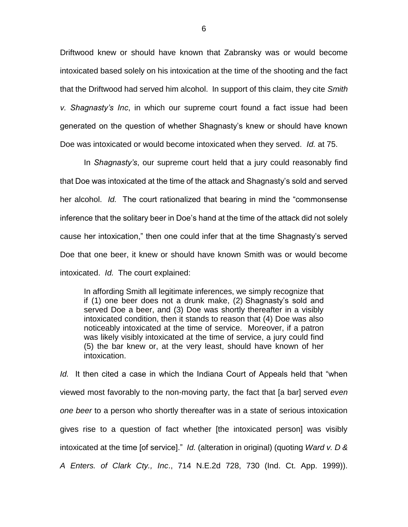Driftwood knew or should have known that Zabransky was or would become intoxicated based solely on his intoxication at the time of the shooting and the fact that the Driftwood had served him alcohol. In support of this claim, they cite *Smith v. Shagnasty's Inc*, in which our supreme court found a fact issue had been generated on the question of whether Shagnasty's knew or should have known Doe was intoxicated or would become intoxicated when they served. *Id.* at 75.

In *Shagnasty's*, our supreme court held that a jury could reasonably find that Doe was intoxicated at the time of the attack and Shagnasty's sold and served her alcohol. *Id.* The court rationalized that bearing in mind the "commonsense inference that the solitary beer in Doe's hand at the time of the attack did not solely cause her intoxication," then one could infer that at the time Shagnasty's served Doe that one beer, it knew or should have known Smith was or would become intoxicated. *Id.* The court explained:

In affording Smith all legitimate inferences, we simply recognize that if (1) one beer does not a drunk make, (2) Shagnasty's sold and served Doe a beer, and (3) Doe was shortly thereafter in a visibly intoxicated condition, then it stands to reason that (4) Doe was also noticeably intoxicated at the time of service. Moreover, if a patron was likely visibly intoxicated at the time of service, a jury could find (5) the bar knew or, at the very least, should have known of her intoxication.

*Id.* It then cited a case in which the Indiana Court of Appeals held that "when viewed most favorably to the non-moving party, the fact that [a bar] served *even one beer* to a person who shortly thereafter was in a state of serious intoxication gives rise to a question of fact whether [the intoxicated person] was visibly intoxicated at the time [of service]." *Id.* (alteration in original) (quoting *Ward v. D & A Enters. of Clark Cty., Inc*., 714 N.E.2d 728, 730 (Ind. Ct. App. 1999)).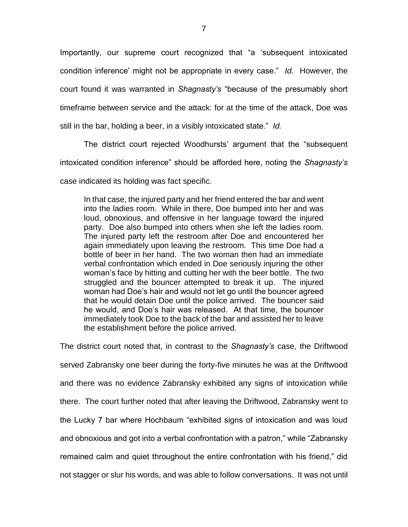Importantly, our supreme court recognized that "a 'subsequent intoxicated condition inference' might not be appropriate in every case." *Id.* However, the court found it was warranted in *Shagnasty's* "because of the presumably short timeframe between service and the attack: for at the time of the attack, Doe was still in the bar, holding a beer, in a visibly intoxicated state." *Id.*

The district court rejected Woodhursts' argument that the "subsequent intoxicated condition inference" should be afforded here, noting the *Shagnasty's* 

case indicated its holding was fact specific.

In that case, the injured party and her friend entered the bar and went into the ladies room. While in there, Doe bumped into her and was loud, obnoxious, and offensive in her language toward the injured party. Doe also bumped into others when she left the ladies room. The injured party left the restroom after Doe and encountered her again immediately upon leaving the restroom. This time Doe had a bottle of beer in her hand. The two woman then had an immediate verbal confrontation which ended in Doe seriously injuring the other woman's face by hitting and cutting her with the beer bottle. The two struggled and the bouncer attempted to break it up. The injured woman had Doe's hair and would not let go until the bouncer agreed that he would detain Doe until the police arrived. The bouncer said he would, and Doe's hair was released. At that time, the bouncer immediately took Doe to the back of the bar and assisted her to leave the establishment before the police arrived.

The district court noted that, in contrast to the *Shagnasty's* case, the Driftwood served Zabransky one beer during the forty-five minutes he was at the Driftwood and there was no evidence Zabransky exhibited any signs of intoxication while there. The court further noted that after leaving the Driftwood, Zabransky went to the Lucky 7 bar where Hochbaum "exhibited signs of intoxication and was loud and obnoxious and got into a verbal confrontation with a patron," while "Zabransky remained calm and quiet throughout the entire confrontation with his friend," did not stagger or slur his words, and was able to follow conversations. It was not until